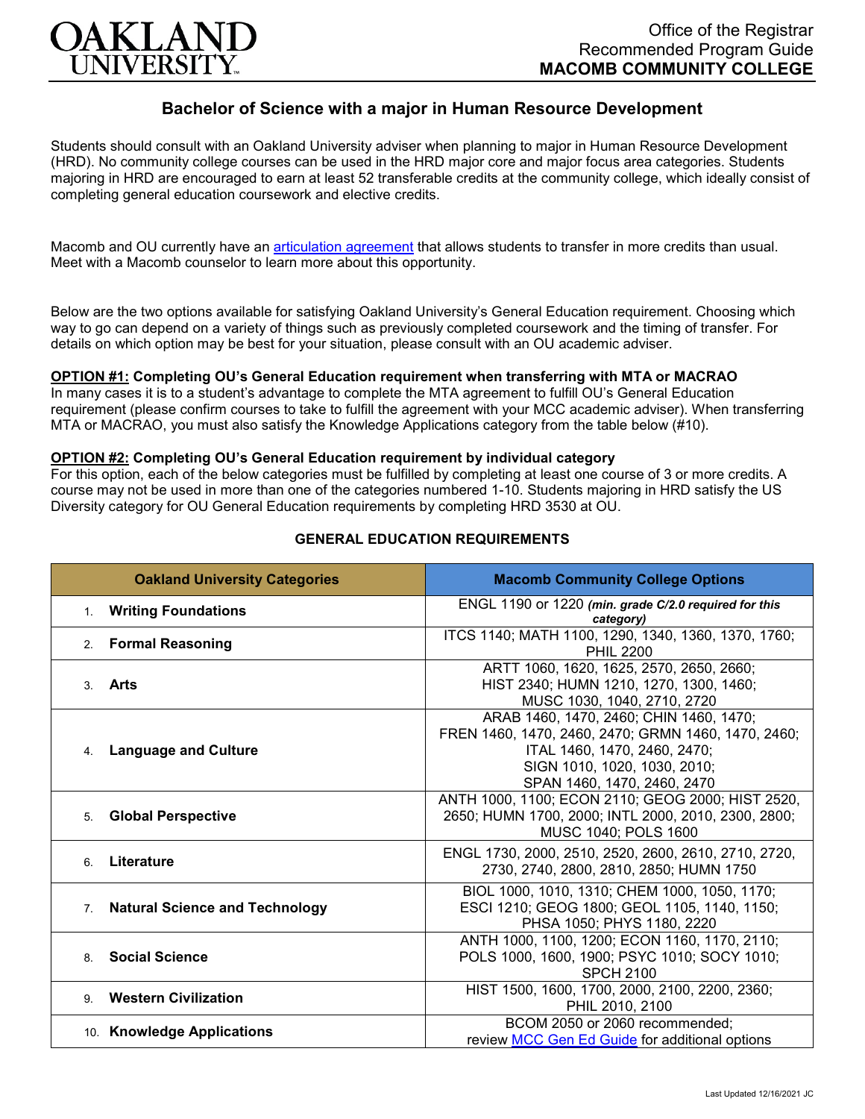

# **Bachelor of Science with a major in Human Resource Development**

Students should consult with an Oakland University adviser when planning to major in Human Resource Development (HRD). No community college courses can be used in the HRD major core and major focus area categories. Students majoring in HRD are encouraged to earn at least 52 transferable credits at the community college, which ideally consist of completing general education coursework and elective credits.

Macomb and OU currently have an [articulation agreement](https://www.oakland.edu/Assets/Oakland/articulation-agreements/macomb-community-college/Macomb%20HRD%20AA.pdf) that allows students to transfer in more credits than usual. Meet with a Macomb counselor to learn more about this opportunity.

Below are the two options available for satisfying Oakland University's General Education requirement. Choosing which way to go can depend on a variety of things such as previously completed coursework and the timing of transfer. For details on which option may be best for your situation, please consult with an OU academic adviser.

## **OPTION #1: Completing OU's General Education requirement when transferring with MTA or MACRAO**

In many cases it is to a student's advantage to complete the MTA agreement to fulfill OU's General Education requirement (please confirm courses to take to fulfill the agreement with your MCC academic adviser). When transferring MTA or MACRAO, you must also satisfy the Knowledge Applications category from the table below (#10).

#### **OPTION #2: Completing OU's General Education requirement by individual category**

For this option, each of the below categories must be fulfilled by completing at least one course of 3 or more credits. A course may not be used in more than one of the categories numbered 1-10. Students majoring in HRD satisfy the US Diversity category for OU General Education requirements by completing HRD 3530 at OU.

| <b>Oakland University Categories</b>        | <b>Macomb Community College Options</b>                                                                                                                                                       |
|---------------------------------------------|-----------------------------------------------------------------------------------------------------------------------------------------------------------------------------------------------|
| 1. Writing Foundations                      | ENGL 1190 or 1220 (min. grade C/2.0 required for this<br>category)                                                                                                                            |
| <b>Formal Reasoning</b><br>2 <sub>1</sub>   | ITCS 1140; MATH 1100, 1290, 1340, 1360, 1370, 1760;<br><b>PHIL 2200</b>                                                                                                                       |
| Arts<br>$\mathcal{S}$                       | ARTT 1060, 1620, 1625, 2570, 2650, 2660;<br>HIST 2340; HUMN 1210, 1270, 1300, 1460;<br>MUSC 1030, 1040, 2710, 2720                                                                            |
| <b>Language and Culture</b><br>4.           | ARAB 1460, 1470, 2460; CHIN 1460, 1470;<br>FREN 1460, 1470, 2460, 2470; GRMN 1460, 1470, 2460;<br>ITAL 1460, 1470, 2460, 2470;<br>SIGN 1010, 1020, 1030, 2010;<br>SPAN 1460, 1470, 2460, 2470 |
| <b>Global Perspective</b><br>5 <sub>1</sub> | ANTH 1000, 1100; ECON 2110; GEOG 2000; HIST 2520,<br>2650; HUMN 1700, 2000; INTL 2000, 2010, 2300, 2800;<br>MUSC 1040; POLS 1600                                                              |
| Literature<br>6                             | ENGL 1730, 2000, 2510, 2520, 2600, 2610, 2710, 2720,<br>2730, 2740, 2800, 2810, 2850; HUMN 1750                                                                                               |
| 7. Natural Science and Technology           | BIOL 1000, 1010, 1310; CHEM 1000, 1050, 1170;<br>ESCI 1210; GEOG 1800; GEOL 1105, 1140, 1150;<br>PHSA 1050; PHYS 1180, 2220                                                                   |
| <b>Social Science</b><br>8.                 | ANTH 1000, 1100, 1200; ECON 1160, 1170, 2110;<br>POLS 1000, 1600, 1900; PSYC 1010; SOCY 1010;<br><b>SPCH 2100</b>                                                                             |
| <b>Western Civilization</b><br>9            | HIST 1500, 1600, 1700, 2000, 2100, 2200, 2360;<br>PHIL 2010, 2100                                                                                                                             |
| 10. Knowledge Applications                  | BCOM 2050 or 2060 recommended;<br>review MCC Gen Ed Guide for additional options                                                                                                              |

## **GENERAL EDUCATION REQUIREMENTS**